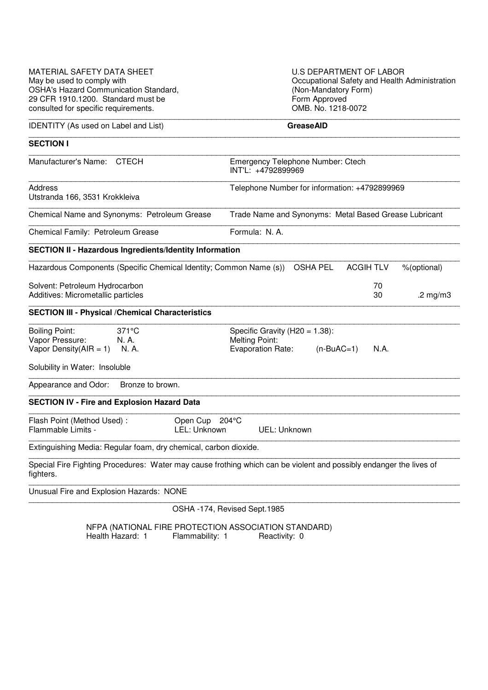| MATERIAL SAFETY DATA SHEET<br>May be used to comply with<br><b>OSHA's Hazard Communication Standard,</b><br>29 CFR 1910.1200. Standard must be | <b>U.S DEPARTMENT OF LABOR</b><br>Occupational Safety and Health Administration<br>(Non-Mandatory Form)<br>Form Approved |
|------------------------------------------------------------------------------------------------------------------------------------------------|--------------------------------------------------------------------------------------------------------------------------|
| consulted for specific requirements.                                                                                                           | OMB. No. 1218-0072                                                                                                       |
| <b>IDENTITY</b> (As used on Label and List)                                                                                                    | <b>GreaseAID</b>                                                                                                         |
| <b>SECTION I</b>                                                                                                                               |                                                                                                                          |
| Manufacturer's Name: CTECH                                                                                                                     | <b>Emergency Telephone Number: Ctech</b><br>INT'L: +4792899969                                                           |
| Address<br>Utstranda 166, 3531 Krokkleiva                                                                                                      | Telephone Number for information: +4792899969                                                                            |
| Chemical Name and Synonyms: Petroleum Grease                                                                                                   | Trade Name and Synonyms: Metal Based Grease Lubricant                                                                    |
| Chemical Family: Petroleum Grease                                                                                                              | Formula: N.A.                                                                                                            |
| <b>SECTION II - Hazardous Ingredients/Identity Information</b>                                                                                 |                                                                                                                          |
| Hazardous Components (Specific Chemical Identity; Common Name (s))                                                                             | <b>OSHA PEL</b><br><b>ACGIHTLV</b><br>%(optional)                                                                        |
| Solvent: Petroleum Hydrocarbon<br>Additives: Micrometallic particles                                                                           | 70<br>30<br>.2 $mg/m3$                                                                                                   |
| <b>SECTION III - Physical / Chemical Characteristics</b>                                                                                       |                                                                                                                          |
| $371^{\circ}$ C<br><b>Boiling Point:</b><br>Vapor Pressure:<br>N. A.<br>Vapor Density( $AIR = 1$ )<br>N. A.                                    | Specific Gravity (H20 = $1.38$ ):<br><b>Melting Point:</b><br><b>Evaporation Rate:</b><br>$(n-BuAC=1)$<br>N.A.           |
| Solubility in Water: Insoluble                                                                                                                 |                                                                                                                          |
| Appearance and Odor:<br>Bronze to brown.                                                                                                       |                                                                                                                          |
| <b>SECTION IV - Fire and Explosion Hazard Data</b>                                                                                             |                                                                                                                          |
| Flash Point (Method Used):<br>Flammable Limits -                                                                                               | Open Cup 204°C<br>LEL: Unknown<br>UEL: Unknown                                                                           |
| Extinguishing Media: Regular foam, dry chemical, carbon dioxide.                                                                               |                                                                                                                          |
| fighters.                                                                                                                                      | Special Fire Fighting Procedures: Water may cause frothing which can be violent and possibly endanger the lives of       |
| Unusual Fire and Explosion Hazards: NONE                                                                                                       |                                                                                                                          |
|                                                                                                                                                | OSHA -174, Revised Sept.1985                                                                                             |

NFPA (NATIONAL FIRE PROTECTION ASSOCIATION STANDARD) Health Hazard: 1 Flammability: 1 Reactivity: 0